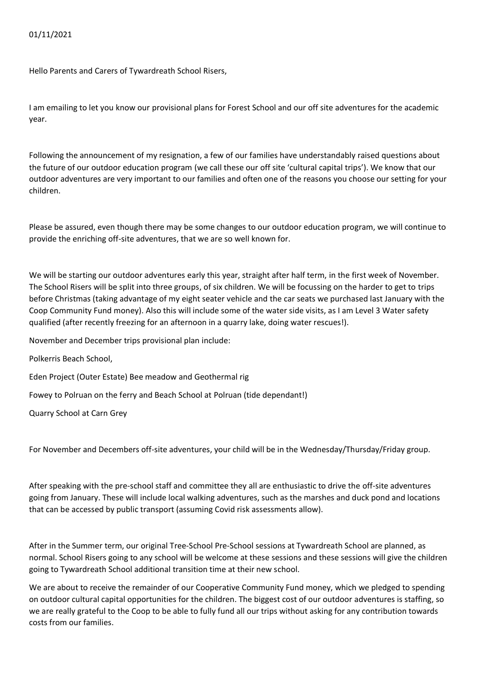## 01/11/2021

Hello Parents and Carers of Tywardreath School Risers,

I am emailing to let you know our provisional plans for Forest School and our off site adventures for the academic year.

Following the announcement of my resignation, a few of our families have understandably raised questions about the future of our outdoor education program (we call these our off site 'cultural capital trips'). We know that our outdoor adventures are very important to our families and often one of the reasons you choose our setting for your children.

Please be assured, even though there may be some changes to our outdoor education program, we will continue to provide the enriching off-site adventures, that we are so well known for.

We will be starting our outdoor adventures early this year, straight after half term, in the first week of November. The School Risers will be split into three groups, of six children. We will be focussing on the harder to get to trips before Christmas (taking advantage of my eight seater vehicle and the car seats we purchased last January with the Coop Community Fund money). Also this will include some of the water side visits, as I am Level 3 Water safety qualified (after recently freezing for an afternoon in a quarry lake, doing water rescues!).

November and December trips provisional plan include:

Polkerris Beach School,

Eden Project (Outer Estate) Bee meadow and Geothermal rig

Fowey to Polruan on the ferry and Beach School at Polruan (tide dependant!)

Quarry School at Carn Grey

For November and Decembers off-site adventures, your child will be in the Wednesday/Thursday/Friday group.

After speaking with the pre-school staff and committee they all are enthusiastic to drive the off-site adventures going from January. These will include local walking adventures, such as the marshes and duck pond and locations that can be accessed by public transport (assuming Covid risk assessments allow).

After in the Summer term, our original Tree-School Pre-School sessions at Tywardreath School are planned, as normal. School Risers going to any school will be welcome at these sessions and these sessions will give the children going to Tywardreath School additional transition time at their new school.

We are about to receive the remainder of our Cooperative Community Fund money, which we pledged to spending on outdoor cultural capital opportunities for the children. The biggest cost of our outdoor adventures is staffing, so we are really grateful to the Coop to be able to fully fund all our trips without asking for any contribution towards costs from our families.